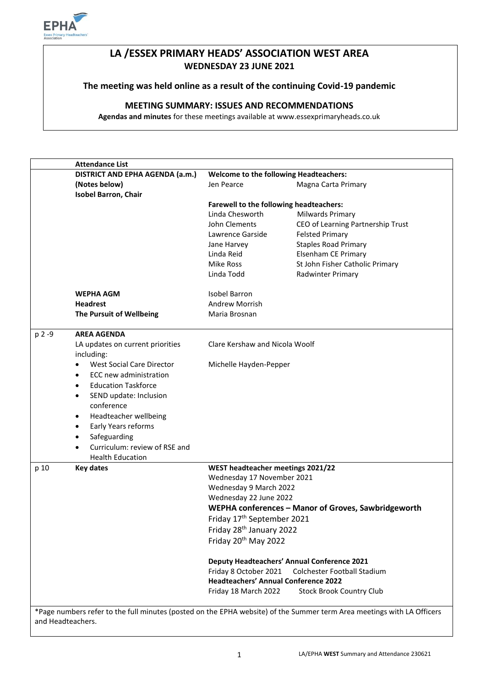

# **LA /ESSEX PRIMARY HEADS' ASSOCIATION WEST AREA WEDNESDAY 23 JUNE 2021**

# **The meeting was held online as a result of the continuing Covid-19 pandemic**

# **MEETING SUMMARY: ISSUES AND RECOMMENDATIONS**

**Agendas and minutes** for these meetings available at www.essexprimaryheads.co.uk

|        | <b>Attendance List</b>                        |                                                                                        |                                                                                                                        |  |
|--------|-----------------------------------------------|----------------------------------------------------------------------------------------|------------------------------------------------------------------------------------------------------------------------|--|
|        | DISTRICT AND EPHA AGENDA (a.m.)               | <b>Welcome to the following Headteachers:</b>                                          |                                                                                                                        |  |
|        | (Notes below)                                 | Jen Pearce                                                                             | Magna Carta Primary                                                                                                    |  |
|        | <b>Isobel Barron, Chair</b>                   |                                                                                        |                                                                                                                        |  |
|        |                                               | <b>Farewell to the following headteachers:</b>                                         |                                                                                                                        |  |
|        |                                               | Linda Chesworth<br>Milwards Primary                                                    |                                                                                                                        |  |
|        |                                               | John Clements                                                                          | CEO of Learning Partnership Trust                                                                                      |  |
|        |                                               | Lawrence Garside                                                                       | <b>Felsted Primary</b>                                                                                                 |  |
|        |                                               | Jane Harvey                                                                            | <b>Staples Road Primary</b>                                                                                            |  |
|        |                                               | Linda Reid                                                                             | Elsenham CE Primary                                                                                                    |  |
|        |                                               | Mike Ross                                                                              | St John Fisher Catholic Primary                                                                                        |  |
|        |                                               | Linda Todd                                                                             | Radwinter Primary                                                                                                      |  |
|        | <b>WEPHA AGM</b>                              | <b>Isobel Barron</b>                                                                   |                                                                                                                        |  |
|        | <b>Headrest</b>                               | <b>Andrew Morrish</b>                                                                  |                                                                                                                        |  |
|        | The Pursuit of Wellbeing                      | Maria Brosnan                                                                          |                                                                                                                        |  |
| p 2 -9 | <b>AREA AGENDA</b>                            |                                                                                        |                                                                                                                        |  |
|        | LA updates on current priorities              | Clare Kershaw and Nicola Woolf                                                         |                                                                                                                        |  |
|        | including:                                    |                                                                                        |                                                                                                                        |  |
|        | <b>West Social Care Director</b><br>$\bullet$ | Michelle Hayden-Pepper                                                                 |                                                                                                                        |  |
|        | ECC new administration<br>$\bullet$           |                                                                                        |                                                                                                                        |  |
|        | <b>Education Taskforce</b><br>$\bullet$       |                                                                                        |                                                                                                                        |  |
|        | SEND update: Inclusion<br>$\bullet$           |                                                                                        |                                                                                                                        |  |
|        | conference                                    |                                                                                        |                                                                                                                        |  |
|        | Headteacher wellbeing<br>$\bullet$            |                                                                                        |                                                                                                                        |  |
|        | Early Years reforms<br>$\bullet$              |                                                                                        |                                                                                                                        |  |
|        | Safeguarding<br>$\bullet$                     |                                                                                        |                                                                                                                        |  |
|        | Curriculum: review of RSE and                 |                                                                                        |                                                                                                                        |  |
|        | <b>Health Education</b>                       |                                                                                        |                                                                                                                        |  |
| p 10   | <b>Key dates</b>                              | WEST headteacher meetings 2021/22                                                      |                                                                                                                        |  |
|        |                                               | Wednesday 17 November 2021                                                             |                                                                                                                        |  |
|        |                                               | Wednesday 9 March 2022                                                                 |                                                                                                                        |  |
|        |                                               | Wednesday 22 June 2022                                                                 |                                                                                                                        |  |
|        |                                               | WEPHA conferences - Manor of Groves, Sawbridgeworth                                    |                                                                                                                        |  |
|        |                                               | Friday 17th September 2021                                                             |                                                                                                                        |  |
|        |                                               | Friday 28 <sup>th</sup> January 2022                                                   |                                                                                                                        |  |
|        |                                               | Friday 20 <sup>th</sup> May 2022<br><b>Deputy Headteachers' Annual Conference 2021</b> |                                                                                                                        |  |
|        |                                               |                                                                                        |                                                                                                                        |  |
|        |                                               | Friday 8 October 2021                                                                  | Colchester Football Stadium                                                                                            |  |
|        |                                               | <b>Headteachers' Annual Conference 2022</b>                                            |                                                                                                                        |  |
|        |                                               | Friday 18 March 2022                                                                   | <b>Stock Brook Country Club</b>                                                                                        |  |
|        |                                               |                                                                                        | *Page numbers refer to the full minutes (posted on the EPHA website) of the Summer term Area meetings with LA Officers |  |

and Headteachers.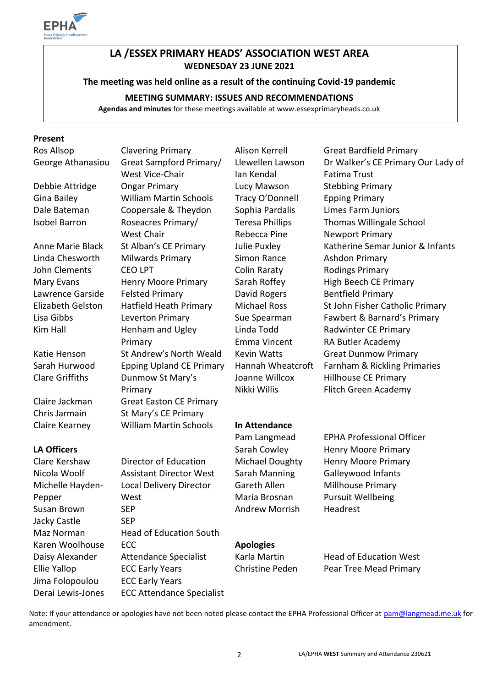

# **LA /ESSEX PRIMARY HEADS' ASSOCIATION WEST AREA WEDNESDAY 23 JUNE 2021**

**The meeting was held online as a result of the continuing Covid-19 pandemic**

# **MEETING SUMMARY: ISSUES AND RECOMMENDATIONS**

**Agendas and minutes** for these meetings available at www.essexprimaryheads.co.uk

#### **Present**

Michelle Hayden-Pepper Susan Brown SEP **SEP** Andrew Morrish Headrest Jacky Castle SEP Maz Norman Head of Education South Karen Woolhouse **ECC Apologies** Jima Folopoulou ECC Early Years Derai Lewis-Jones ECC Attendance Specialist

George Athanasiou Great Sampford Primary/ West Vice-Chair Debbie Attridge Ongar Primary **Lucy Mawson** Stebbing Primary Gina Bailey William Martin Schools Tracy O'Donnell Epping Primary Dale Bateman Coopersale & Theydon Sophia Pardalis Limes Farm Juniors Isobel Barron Roseacres Primary/ West Chair Linda Chesworth Milwards Primary Simon Rance Ashdon Primary John Clements CEO LPT Colin Raraty Rodings Primary Mary Evans Henry Moore Primary Sarah Roffey High Beech CE Primary Lawrence Garside Felsted Primary **David Rogers** Bentfield Primary Kim Hall Henham and Ugley Primary Katie Henson St Andrew's North Weald Kevin Watts Great Dunmow Primary Clare Griffiths Dunmow St Mary's Primary Claire Jackman Great Easton CE Primary Chris Jarmain St Mary's CE Primary Claire Kearney William Martin Schools **In Attendance**

Local Delivery Director

West

Llewellen Lawson Ian Kendal Teresa Phillips Rebecca Pine Linda Todd Emma Vincent Joanne Willcox Nikki Willis

Ros Allsop Clavering Primary Alison Kerrell Great Bardfield Primary Dr Walker's CE Primary Our Lady of Fatima Trust Thomas Willingale School Newport Primary Anne Marie Black St Alban's CE Primary Julie Puxley Katherine Semar Junior & Infants Elizabeth Gelston Hatfield Heath Primary Michael Ross St John Fisher Catholic Primary Lisa Gibbs Leverton Primary Sue Spearman Fawbert & Barnard's Primary Radwinter CE Primary RA Butler Academy Sarah Hurwood Epping Upland CE Primary Hannah Wheatcroft Farnham & Rickling Primaries Hillhouse CE Primary Flitch Green Academy

Gareth Allen Maria Brosnan

Pam Langmead EPHA Professional Officer LA Officers **EXECUTE:** Sarah Cowley Henry Moore Primary Clare Kershaw Director of Education Michael Doughty Henry Moore Primary Nicola Woolf Assistant Director West Sarah Manning Galleywood Infants Millhouse Primary Pursuit Wellbeing

Daisy Alexander Attendance Specialist Karla Martin Head of Education West Ellie Yallop **ECC Early Years** Christine Peden Pear Tree Mead Primary

Note: If your attendance or apologies have not been noted please contact the EPHA Professional Officer at [pam@langmead.me.uk](mailto:pam@langmead.me.uk) for amendment.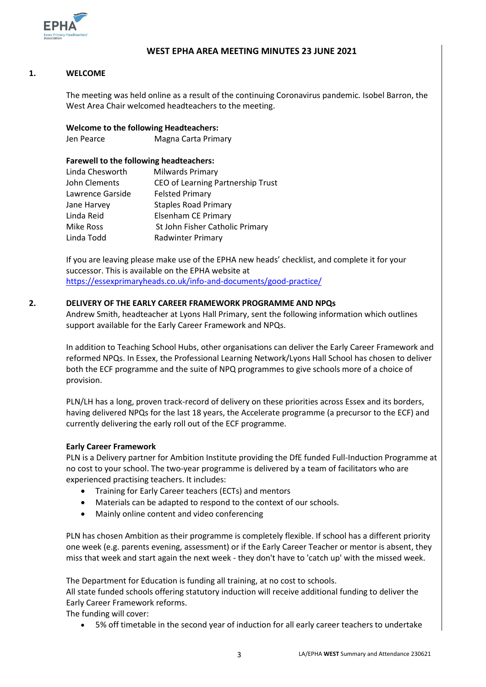

### **WEST EPHA AREA MEETING MINUTES 23 JUNE 2021**

#### **1. WELCOME**

The meeting was held online as a result of the continuing Coronavirus pandemic. Isobel Barron, the West Area Chair welcomed headteachers to the meeting.

# **Welcome to the following Headteachers:**

Jen Pearce Magna Carta Primary

#### **Farewell to the following headteachers:**

| Linda Chesworth  | Milwards Primary                  |
|------------------|-----------------------------------|
| John Clements    | CEO of Learning Partnership Trust |
| Lawrence Garside | <b>Felsted Primary</b>            |
| Jane Harvey      | <b>Staples Road Primary</b>       |
| Linda Reid       | <b>Elsenham CE Primary</b>        |
| Mike Ross        | St John Fisher Catholic Primary   |
| Linda Todd       | <b>Radwinter Primary</b>          |

If you are leaving please make use of the EPHA new heads' checklist, and complete it for your successor. This is available on the EPHA website at <https://essexprimaryheads.co.uk/info-and-documents/good-practice/>

#### **2. DELIVERY OF THE EARLY CAREER FRAMEWORK PROGRAMME AND NPQs**

Andrew Smith, headteacher at Lyons Hall Primary, sent the following information which outlines support available for the Early Career Framework and NPQs.

In addition to Teaching School Hubs, other organisations can deliver the Early Career Framework and reformed NPQs. In Essex, the Professional Learning Network/Lyons Hall School has chosen to deliver both the ECF programme and the suite of NPQ programmes to give schools more of a choice of provision.

PLN/LH has a long, proven track-record of delivery on these priorities across Essex and its borders, having delivered NPQs for the last 18 years, the Accelerate programme (a precursor to the ECF) and currently delivering the early roll out of the ECF programme.

#### **Early Career Framework**

PLN is a Delivery partner for Ambition Institute providing the DfE funded Full-Induction Programme at no cost to your school. The two-year programme is delivered by a team of facilitators who are experienced practising teachers. It includes:

- Training for Early Career teachers (ECTs) and mentors
- Materials can be adapted to respond to the context of our schools.
- Mainly online content and video conferencing

PLN has chosen Ambition as their programme is completely flexible. If school has a different priority one week (e.g. parents evening, assessment) or if the Early Career Teacher or mentor is absent, they miss that week and start again the next week - they don't have to 'catch up' with the missed week.

The Department for Education is funding all training, at no cost to schools.

All state funded schools offering statutory induction will receive additional funding to deliver the Early Career Framework reforms.

The funding will cover:

5% off timetable in the second year of induction for all early career teachers to undertake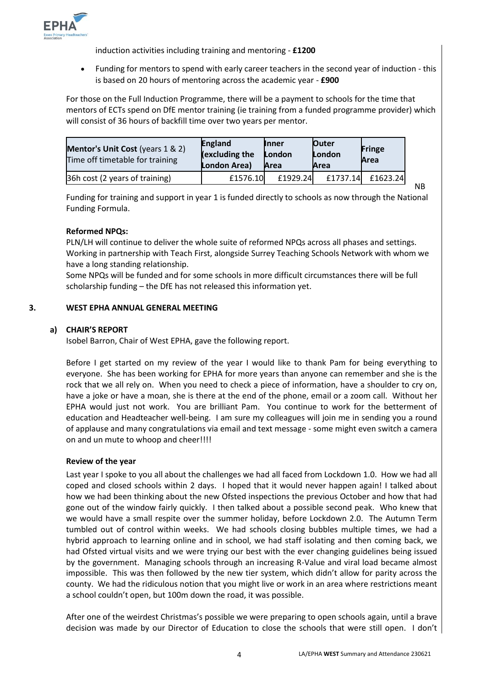

induction activities including training and mentoring - **£1200**

 Funding for mentors to spend with early career teachers in the second year of induction - this is based on 20 hours of mentoring across the academic year - **£900**

For those on the Full Induction Programme, there will be a payment to schools for the time that mentors of ECTs spend on DfE mentor training (ie training from a funded programme provider) which will consist of 36 hours of backfill time over two years per mentor.

| Mentor's Unit Cost (years 1 & 2)<br>Time off timetable for training | <b>England</b><br>(excluding the<br>London Area) | <b>Inner</b><br>London<br>Area | <b>Outer</b><br>London<br><b>Area</b> | <b>Fringe</b><br>Area |
|---------------------------------------------------------------------|--------------------------------------------------|--------------------------------|---------------------------------------|-----------------------|
| 36h cost (2 years of training)                                      | £1576.10                                         | £1929.24                       | £1737.14                              | £1623.24              |

NB

Funding for training and support in year 1 is funded directly to schools as now through the National Funding Formula.

#### **Reformed NPQs:**

PLN/LH will continue to deliver the whole suite of reformed NPQs across all phases and settings. Working in partnership with Teach First, alongside Surrey Teaching Schools Network with whom we have a long standing relationship.

Some NPQs will be funded and for some schools in more difficult circumstances there will be full scholarship funding – the DfE has not released this information yet.

#### **3. WEST EPHA ANNUAL GENERAL MEETING**

# **a) CHAIR'S REPORT**

Isobel Barron, Chair of West EPHA, gave the following report.

Before I get started on my review of the year I would like to thank Pam for being everything to everyone. She has been working for EPHA for more years than anyone can remember and she is the rock that we all rely on. When you need to check a piece of information, have a shoulder to cry on, have a joke or have a moan, she is there at the end of the phone, email or a zoom call. Without her EPHA would just not work. You are brilliant Pam. You continue to work for the betterment of education and Headteacher well-being. I am sure my colleagues will join me in sending you a round of applause and many congratulations via email and text message - some might even switch a camera on and un mute to whoop and cheer!!!!

#### **Review of the year**

Last year I spoke to you all about the challenges we had all faced from Lockdown 1.0. How we had all coped and closed schools within 2 days. I hoped that it would never happen again! I talked about how we had been thinking about the new Ofsted inspections the previous October and how that had gone out of the window fairly quickly. I then talked about a possible second peak. Who knew that we would have a small respite over the summer holiday, before Lockdown 2.0. The Autumn Term tumbled out of control within weeks. We had schools closing bubbles multiple times, we had a hybrid approach to learning online and in school, we had staff isolating and then coming back, we had Ofsted virtual visits and we were trying our best with the ever changing guidelines being issued by the government. Managing schools through an increasing R-Value and viral load became almost impossible. This was then followed by the new tier system, which didn't allow for parity across the county. We had the ridiculous notion that you might live or work in an area where restrictions meant a school couldn't open, but 100m down the road, it was possible.

After one of the weirdest Christmas's possible we were preparing to open schools again, until a brave decision was made by our Director of Education to close the schools that were still open. I don't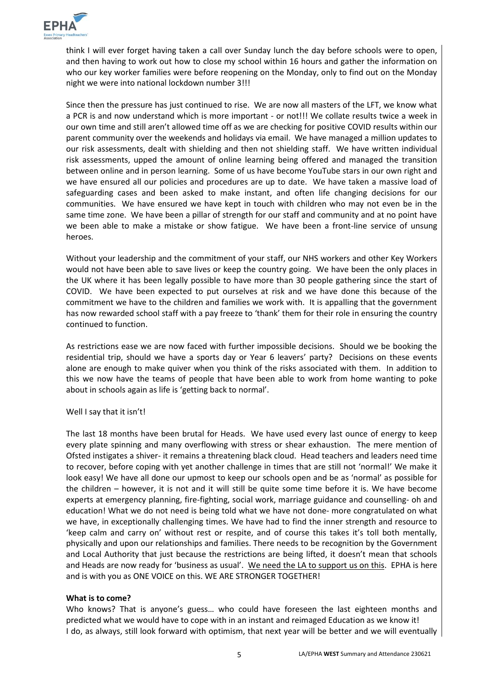

think I will ever forget having taken a call over Sunday lunch the day before schools were to open, and then having to work out how to close my school within 16 hours and gather the information on who our key worker families were before reopening on the Monday, only to find out on the Monday night we were into national lockdown number 3!!!

Since then the pressure has just continued to rise. We are now all masters of the LFT, we know what a PCR is and now understand which is more important - or not!!! We collate results twice a week in our own time and still aren't allowed time off as we are checking for positive COVID results within our parent community over the weekends and holidays via email. We have managed a million updates to our risk assessments, dealt with shielding and then not shielding staff. We have written individual risk assessments, upped the amount of online learning being offered and managed the transition between online and in person learning. Some of us have become YouTube stars in our own right and we have ensured all our policies and procedures are up to date. We have taken a massive load of safeguarding cases and been asked to make instant, and often life changing decisions for our communities. We have ensured we have kept in touch with children who may not even be in the same time zone. We have been a pillar of strength for our staff and community and at no point have we been able to make a mistake or show fatigue. We have been a front-line service of unsung heroes.

Without your leadership and the commitment of your staff, our NHS workers and other Key Workers would not have been able to save lives or keep the country going. We have been the only places in the UK where it has been legally possible to have more than 30 people gathering since the start of COVID. We have been expected to put ourselves at risk and we have done this because of the commitment we have to the children and families we work with. It is appalling that the government has now rewarded school staff with a pay freeze to 'thank' them for their role in ensuring the country continued to function.

As restrictions ease we are now faced with further impossible decisions. Should we be booking the residential trip, should we have a sports day or Year 6 leavers' party? Decisions on these events alone are enough to make quiver when you think of the risks associated with them. In addition to this we now have the teams of people that have been able to work from home wanting to poke about in schools again as life is 'getting back to normal'.

#### Well I say that it isn't!

The last 18 months have been brutal for Heads. We have used every last ounce of energy to keep every plate spinning and many overflowing with stress or shear exhaustion. The mere mention of Ofsted instigates a shiver- it remains a threatening black cloud. Head teachers and leaders need time to recover, before coping with yet another challenge in times that are still not 'normal!' We make it look easy! We have all done our upmost to keep our schools open and be as 'normal' as possible for the children – however, it is not and it will still be quite some time before it is. We have become experts at emergency planning, fire-fighting, social work, marriage guidance and counselling- oh and education! What we do not need is being told what we have not done- more congratulated on what we have, in exceptionally challenging times. We have had to find the inner strength and resource to 'keep calm and carry on' without rest or respite, and of course this takes it's toll both mentally, physically and upon our relationships and families. There needs to be recognition by the Government and Local Authority that just because the restrictions are being lifted, it doesn't mean that schools and Heads are now ready for 'business as usual'. We need the LA to support us on this. EPHA is here and is with you as ONE VOICE on this. WE ARE STRONGER TOGETHER!

#### **What is to come?**

Who knows? That is anyone's guess… who could have foreseen the last eighteen months and predicted what we would have to cope with in an instant and reimaged Education as we know it! I do, as always, still look forward with optimism, that next year will be better and we will eventually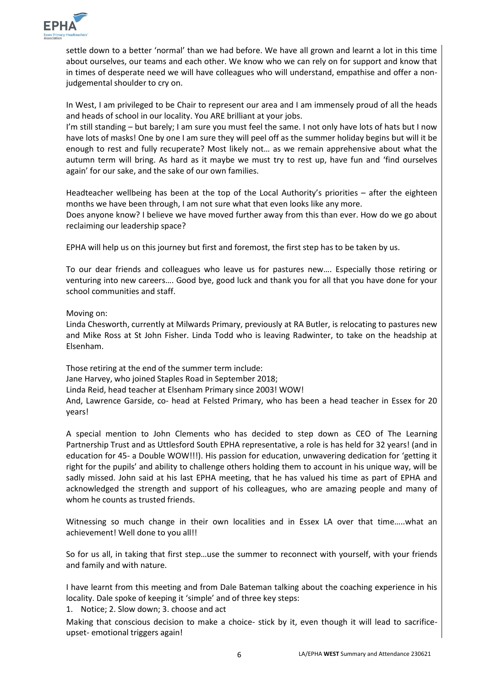

settle down to a better 'normal' than we had before. We have all grown and learnt a lot in this time about ourselves, our teams and each other. We know who we can rely on for support and know that in times of desperate need we will have colleagues who will understand, empathise and offer a nonjudgemental shoulder to cry on.

In West, I am privileged to be Chair to represent our area and I am immensely proud of all the heads and heads of school in our locality. You ARE brilliant at your jobs.

I'm still standing – but barely; I am sure you must feel the same. I not only have lots of hats but I now have lots of masks! One by one I am sure they will peel off as the summer holiday begins but will it be enough to rest and fully recuperate? Most likely not… as we remain apprehensive about what the autumn term will bring. As hard as it maybe we must try to rest up, have fun and 'find ourselves again' for our sake, and the sake of our own families.

Headteacher wellbeing has been at the top of the Local Authority's priorities – after the eighteen months we have been through, I am not sure what that even looks like any more.

Does anyone know? I believe we have moved further away from this than ever. How do we go about reclaiming our leadership space?

EPHA will help us on this journey but first and foremost, the first step has to be taken by us.

To our dear friends and colleagues who leave us for pastures new…. Especially those retiring or venturing into new careers…. Good bye, good luck and thank you for all that you have done for your school communities and staff.

Moving on:

Linda Chesworth, currently at Milwards Primary, previously at RA Butler, is relocating to pastures new and Mike Ross at St John Fisher. Linda Todd who is leaving Radwinter, to take on the headship at Elsenham.

Those retiring at the end of the summer term include: Jane Harvey, who joined Staples Road in September 2018; Linda Reid, head teacher at Elsenham Primary since 2003! WOW! And, Lawrence Garside, co- head at Felsted Primary, who has been a head teacher in Essex for 20 years!

A special mention to John Clements who has decided to step down as CEO of The Learning Partnership Trust and as Uttlesford South EPHA representative, a role is has held for 32 years! (and in education for 45- a Double WOW!!!). His passion for education, unwavering dedication for 'getting it right for the pupils' and ability to challenge others holding them to account in his unique way, will be sadly missed. John said at his last EPHA meeting, that he has valued his time as part of EPHA and acknowledged the strength and support of his colleagues, who are amazing people and many of whom he counts as trusted friends.

Witnessing so much change in their own localities and in Essex LA over that time…..what an achievement! Well done to you all!!

So for us all, in taking that first step…use the summer to reconnect with yourself, with your friends and family and with nature.

I have learnt from this meeting and from Dale Bateman talking about the coaching experience in his locality. Dale spoke of keeping it 'simple' and of three key steps:

1. Notice; 2. Slow down; 3. choose and act

Making that conscious decision to make a choice- stick by it, even though it will lead to sacrificeupset- emotional triggers again!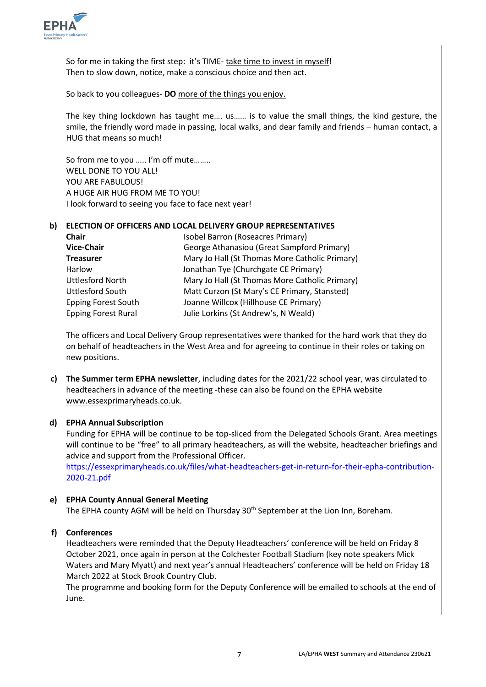

So for me in taking the first step: it's TIME- take time to invest in myself! Then to slow down, notice, make a conscious choice and then act.

So back to you colleagues- **DO** more of the things you enjoy.

The key thing lockdown has taught me…. us…… is to value the small things, the kind gesture, the smile, the friendly word made in passing, local walks, and dear family and friends – human contact, a HUG that means so much!

So from me to you ….. I'm off mute…….. WELL DONE TO YOU ALL! YOU ARE FABULOUS! A HUGE AIR HUG FROM ME TO YOU! I look forward to seeing you face to face next year!

### **b) ELECTION OF OFFICERS AND LOCAL DELIVERY GROUP REPRESENTATIVES**

| <b>Chair</b>               | Isobel Barron (Roseacres Primary)              |
|----------------------------|------------------------------------------------|
| <b>Vice-Chair</b>          | George Athanasiou (Great Sampford Primary)     |
| <b>Treasurer</b>           | Mary Jo Hall (St Thomas More Catholic Primary) |
| Harlow                     | Jonathan Tye (Churchgate CE Primary)           |
| <b>Uttlesford North</b>    | Mary Jo Hall (St Thomas More Catholic Primary) |
| <b>Uttlesford South</b>    | Matt Curzon (St Mary's CE Primary, Stansted)   |
| <b>Epping Forest South</b> | Joanne Willcox (Hillhouse CE Primary)          |
| <b>Epping Forest Rural</b> | Julie Lorkins (St Andrew's, N Weald)           |

The officers and Local Delivery Group representatives were thanked for the hard work that they do on behalf of headteachers in the West Area and for agreeing to continue in their roles or taking on new positions.

**c) The Summer term EPHA newsletter**, including dates for the 2021/22 school year, was circulated to headteachers in advance of the meeting -these can also be found on the EPHA website [www.essexprimaryheads.co.uk.](http://www.essexprimaryheads.co.uk/)

## **d) EPHA Annual Subscription**

Funding for EPHA will be continue to be top-sliced from the Delegated Schools Grant. Area meetings will continue to be "free" to all primary headteachers, as will the website, headteacher briefings and advice and support from the Professional Officer. [https://essexprimaryheads.co.uk/files/what-headteachers-get-in-return-for-their-epha-contribution-](https://essexprimaryheads.co.uk/files/what-headteachers-get-in-return-for-their-epha-contribution-2020-21.pdf)[2020-21.pdf](https://essexprimaryheads.co.uk/files/what-headteachers-get-in-return-for-their-epha-contribution-2020-21.pdf)

# **e) EPHA County Annual General Meeting**

The EPHA county AGM will be held on Thursday 30<sup>th</sup> September at the Lion Inn, Boreham.

## **f) Conferences**

Headteachers were reminded that the Deputy Headteachers' conference will be held on Friday 8 October 2021, once again in person at the Colchester Football Stadium (key note speakers Mick Waters and Mary Myatt) and next year's annual Headteachers' conference will be held on Friday 18 March 2022 at Stock Brook Country Club.

The programme and booking form for the Deputy Conference will be emailed to schools at the end of June.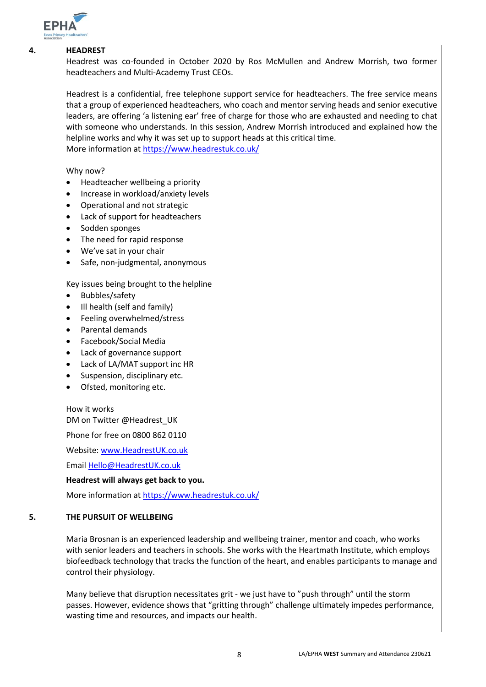

#### **4. HEADREST**

Headrest was co-founded in October 2020 by Ros McMullen and Andrew Morrish, two former headteachers and Multi-Academy Trust CEOs.

Headrest is a confidential, free telephone support service for headteachers. The free service means that a group of experienced headteachers, who coach and mentor serving heads and senior executive leaders, are offering 'a listening ear' free of charge for those who are exhausted and needing to chat with someone who understands. In this session, Andrew Morrish introduced and explained how the helpline works and why it was set up to support heads at this critical time. More information at<https://www.headrestuk.co.uk/>

Why now?

- Headteacher wellbeing a priority
- Increase in workload/anxiety levels
- Operational and not strategic
- Lack of support for headteachers
- Sodden sponges
- The need for rapid response
- We've sat in your chair
- Safe, non-judgmental, anonymous

Key issues being brought to the helpline

- Bubbles/safety
- Ill health (self and family)
- Feeling overwhelmed/stress
- Parental demands
- Facebook/Social Media
- Lack of governance support
- Lack of LA/MAT support inc HR
- Suspension, disciplinary etc.
- Ofsted, monitoring etc.

How it works DM on Twitter @Headrest\_UK

Phone for free on 0800 862 0110

Website[: www.HeadrestUK.co.uk](http://www.headrestuk.co.uk/)

Email [Hello@HeadrestUK.co.uk](mailto:Hello@HeadrestUK.co.uk)

#### **Headrest will always get back to you.**

More information at<https://www.headrestuk.co.uk/>

#### **5. THE PURSUIT OF WELLBEING**

Maria Brosnan is an experienced leadership and wellbeing trainer, mentor and coach, who works with senior leaders and teachers in schools. She works with the Heartmath Institute, which employs biofeedback technology that tracks the function of the heart, and enables participants to manage and control their physiology.

Many believe that disruption necessitates grit - we just have to "push through" until the storm passes. However, evidence shows that "gritting through" challenge ultimately impedes performance, wasting time and resources, and impacts our health.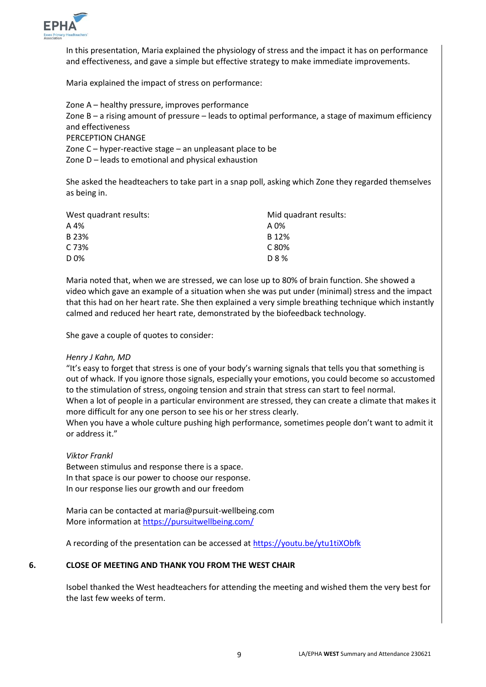

In this presentation, Maria explained the physiology of stress and the impact it has on performance and effectiveness, and gave a simple but effective strategy to make immediate improvements.

Maria explained the impact of stress on performance:

Zone A – healthy pressure, improves performance Zone B – a rising amount of pressure – leads to optimal performance, a stage of maximum efficiency and effectiveness PERCEPTION CHANGE Zone C – hyper-reactive stage – an unpleasant place to be Zone D – leads to emotional and physical exhaustion

She asked the headteachers to take part in a snap poll, asking which Zone they regarded themselves as being in.

| West quadrant results: | Mid quadrant results: |  |  |
|------------------------|-----------------------|--|--|
| A 4%                   | A 0%                  |  |  |
| B 23%                  | B 12%                 |  |  |
| C 73%                  | C 80%                 |  |  |
| D 0%                   | D 8 %                 |  |  |

Maria noted that, when we are stressed, we can lose up to 80% of brain function. She showed a video which gave an example of a situation when she was put under (minimal) stress and the impact that this had on her heart rate. She then explained a very simple breathing technique which instantly calmed and reduced her heart rate, demonstrated by the biofeedback technology.

She gave a couple of quotes to consider:

#### *Henry J Kahn, MD*

"It's easy to forget that stress is one of your body's warning signals that tells you that something is out of whack. If you ignore those signals, especially your emotions, you could become so accustomed to the stimulation of stress, ongoing tension and strain that stress can start to feel normal. When a lot of people in a particular environment are stressed, they can create a climate that makes it more difficult for any one person to see his or her stress clearly.

When you have a whole culture pushing high performance, sometimes people don't want to admit it or address it."

#### *Viktor Frankl*

Between stimulus and response there is a space. In that space is our power to choose our response. In our response lies our growth and our freedom

Maria can be contacted at maria@pursuit-wellbeing.com More information at<https://pursuitwellbeing.com/>

A recording of the presentation can be accessed at<https://youtu.be/ytu1tiXObfk>

#### **6. CLOSE OF MEETING AND THANK YOU FROM THE WEST CHAIR**

Isobel thanked the West headteachers for attending the meeting and wished them the very best for the last few weeks of term.